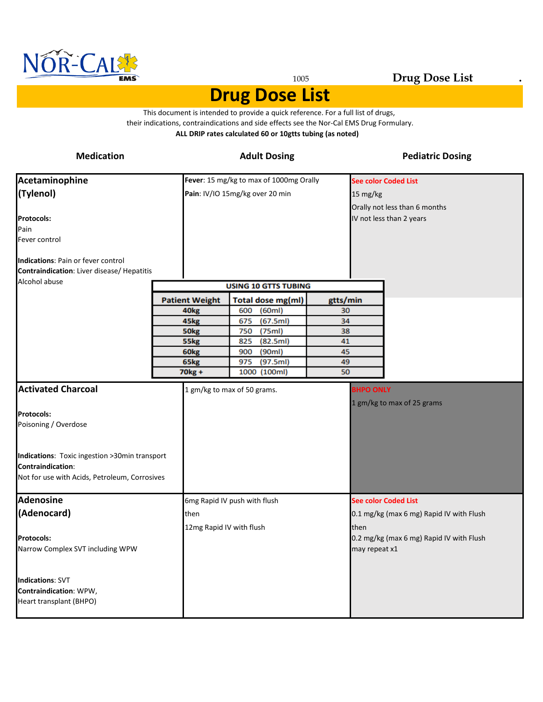

#### <sup>1005</sup> **Drug Dose List .**

#### **Drug Dose List**

**ALL DRIP rates calculated 60 or 10gtts tubing (as noted)** This document is intended to provide a quick reference. For a full list of drugs, their indications, contraindications and side effects see the Nor-Cal EMS Drug Formulary.

| <b>Medication</b>                                                                                                                                                                             |                                  | <b>Adult Dosing</b>                                                        |                       | <b>Pediatric Dosing</b>                                                              |
|-----------------------------------------------------------------------------------------------------------------------------------------------------------------------------------------------|----------------------------------|----------------------------------------------------------------------------|-----------------------|--------------------------------------------------------------------------------------|
| Acetaminophine<br>(Tylenol)                                                                                                                                                                   |                                  | Fever: 15 mg/kg to max of 1000mg Orally<br>Pain: IV/IO 15mg/kg over 20 min | 15 mg/kg              | <b>See color Coded List</b><br>Orally not less than 6 months                         |
| <b>Protocols:</b><br>Pain<br>Fever control                                                                                                                                                    |                                  |                                                                            |                       | IV not less than 2 years                                                             |
| Indications: Pain or fever control<br>Contraindication: Liver disease/ Hepatitis<br>Alcohol abuse                                                                                             |                                  | <b>USING 10 GTTS TUBING</b>                                                |                       |                                                                                      |
|                                                                                                                                                                                               | <b>Patient Weight</b>            | <b>Total dose mg(ml)</b>                                                   | gtts/min              |                                                                                      |
|                                                                                                                                                                                               | 40 <sub>kg</sub>                 | (60ml)<br>600                                                              | 30                    |                                                                                      |
|                                                                                                                                                                                               | 45kg                             | (67.5ml)<br>675                                                            | 34                    |                                                                                      |
|                                                                                                                                                                                               | 50 <sub>kg</sub>                 | (75ml)<br>750                                                              | 38                    |                                                                                      |
|                                                                                                                                                                                               | 55kg                             | (82.5ml)<br>825                                                            | 41                    |                                                                                      |
|                                                                                                                                                                                               | 60 <sub>kg</sub><br>65kg         | (90ml)<br>900<br>975<br>(97.5ml)                                           | 45<br>49              |                                                                                      |
|                                                                                                                                                                                               | 70 <sub>kg</sub> +               | 1000 (100ml)                                                               | 50                    |                                                                                      |
| <b>Activated Charcoal</b><br><b>Protocols:</b><br>Poisoning / Overdose<br>Indications: Toxic ingestion >30min transport<br>Contraindication:<br>Not for use with Acids, Petroleum, Corrosives |                                  | 1 gm/kg to max of 50 grams.                                                | <b>BHPO ONLY</b>      | 1 gm/kg to max of 25 grams                                                           |
| <b>Adenosine</b>                                                                                                                                                                              |                                  | 6mg Rapid IV push with flush                                               |                       | <b>See color Coded List</b>                                                          |
| (Adenocard)<br><b>Protocols:</b><br>Narrow Complex SVT including WPW                                                                                                                          | then<br>12mg Rapid IV with flush |                                                                            | then<br>may repeat x1 | 0.1 mg/kg (max 6 mg) Rapid IV with Flush<br>0.2 mg/kg (max 6 mg) Rapid IV with Flush |
| <b>Indications: SVT</b><br>Contraindication: WPW,<br>Heart transplant (BHPO)                                                                                                                  |                                  |                                                                            |                       |                                                                                      |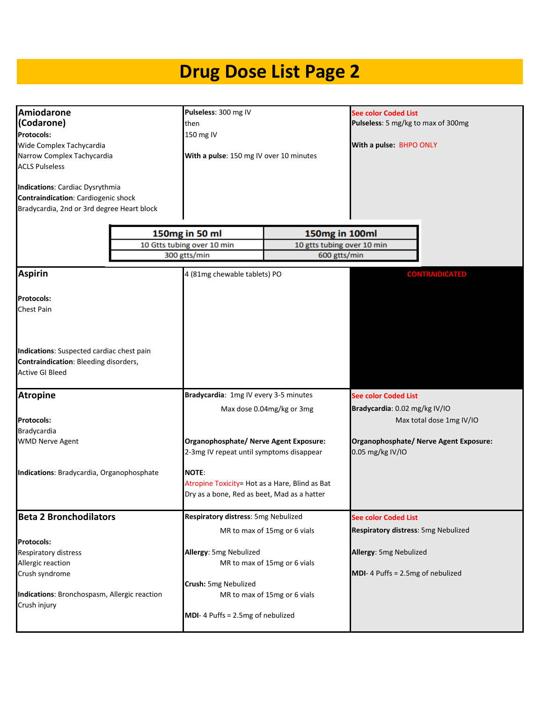| Amiodarone<br>(Codarone)<br><b>Protocols:</b><br>Wide Complex Tachycardia<br>Narrow Complex Tachycardia<br><b>ACLS Pulseless</b><br><b>Indications: Cardiac Dysrythmia</b><br>Contraindication: Cardiogenic shock<br>Bradycardia, 2nd or 3rd degree Heart block | Pulseless: 300 mg IV<br>then<br>150 mg IV<br>With a pulse: 150 mg IV over 10 minutes                          |                              | See color Coded List<br>Pulseless: 5 mg/kg to max of 300mg<br>With a pulse: BHPO ONLY |
|-----------------------------------------------------------------------------------------------------------------------------------------------------------------------------------------------------------------------------------------------------------------|---------------------------------------------------------------------------------------------------------------|------------------------------|---------------------------------------------------------------------------------------|
|                                                                                                                                                                                                                                                                 | 150mg in 50 ml                                                                                                | 150mg in 100ml               |                                                                                       |
|                                                                                                                                                                                                                                                                 | 10 Gtts tubing over 10 min                                                                                    | 10 gtts tubing over 10 min   |                                                                                       |
|                                                                                                                                                                                                                                                                 | 300 gtts/min                                                                                                  | 600 gtts/min                 |                                                                                       |
| <b>Aspirin</b>                                                                                                                                                                                                                                                  | 4 (81mg chewable tablets) PO                                                                                  |                              | <b>CONTRAIDICATED</b>                                                                 |
| <b>Protocols:</b><br>Chest Pain                                                                                                                                                                                                                                 |                                                                                                               |                              |                                                                                       |
| Indications: Suspected cardiac chest pain<br><b>Contraindication: Bleeding disorders,</b><br><b>Active GI Bleed</b>                                                                                                                                             |                                                                                                               |                              |                                                                                       |
| <b>Atropine</b>                                                                                                                                                                                                                                                 | Bradycardia: 1mg IV every 3-5 minutes                                                                         |                              | <b>See color Coded List</b>                                                           |
|                                                                                                                                                                                                                                                                 |                                                                                                               | Max dose 0.04mg/kg or 3mg    | Bradycardia: 0.02 mg/kg IV/IO                                                         |
| <b>Protocols:</b>                                                                                                                                                                                                                                               |                                                                                                               |                              | Max total dose 1mg IV/IO                                                              |
| Bradycardia                                                                                                                                                                                                                                                     |                                                                                                               |                              |                                                                                       |
| <b>WMD Nerve Agent</b>                                                                                                                                                                                                                                          | Organophosphate/ Nerve Agent Exposure:<br>2-3mg IV repeat until symptoms disappear                            |                              | Organophosphate/ Nerve Agent Exposure:<br>0.05 mg/kg IV/IO                            |
| Indications: Bradycardia, Organophosphate                                                                                                                                                                                                                       | <b>NOTE:</b><br>Atropine Toxicity= Hot as a Hare, Blind as Bat<br>Dry as a bone, Red as beet, Mad as a hatter |                              |                                                                                       |
| <b>Beta 2 Bronchodilators</b>                                                                                                                                                                                                                                   | Respiratory distress: 5mg Nebulized                                                                           |                              | <b>See color Coded List</b>                                                           |
|                                                                                                                                                                                                                                                                 |                                                                                                               | MR to max of 15mg or 6 vials | Respiratory distress: 5mg Nebulized                                                   |
| Protocols:<br>Respiratory distress<br>Allergic reaction<br>Crush syndrome                                                                                                                                                                                       | Allergy: 5mg Nebulized<br>Crush: 5mg Nebulized                                                                | MR to max of 15mg or 6 vials | Allergy: 5mg Nebulized<br>MDI-4 Puffs = 2.5mg of nebulized                            |
| Indications: Bronchospasm, Allergic reaction<br>Crush injury                                                                                                                                                                                                    | MDI-4 Puffs = 2.5mg of nebulized                                                                              | MR to max of 15mg or 6 vials |                                                                                       |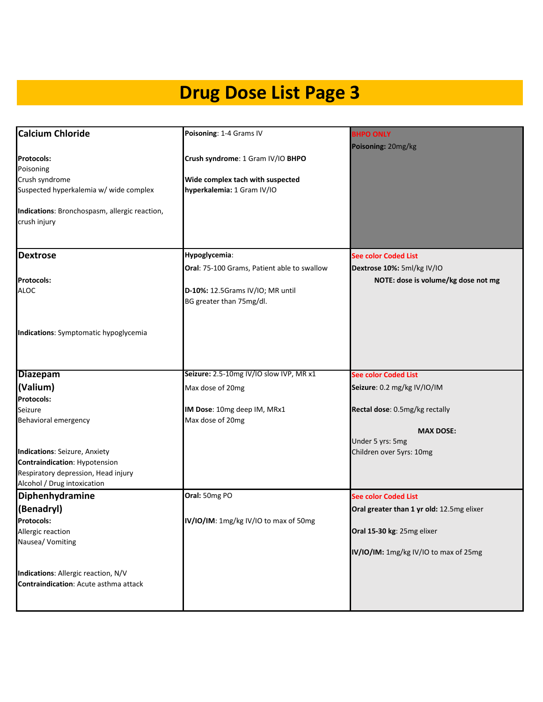| <b>Calcium Chloride</b>                                                                                                                                     | Poisoning: 1-4 Grams IV                                                                                                      | <b>BHPO ONLY</b>                                                                                                 |
|-------------------------------------------------------------------------------------------------------------------------------------------------------------|------------------------------------------------------------------------------------------------------------------------------|------------------------------------------------------------------------------------------------------------------|
| <b>Protocols:</b><br>Poisoning<br>Crush syndrome<br>Suspected hyperkalemia w/ wide complex<br>Indications: Bronchospasm, allergic reaction,<br>crush injury | Crush syndrome: 1 Gram IV/IO BHPO<br>Wide complex tach with suspected<br>hyperkalemia: 1 Gram IV/IO                          | Poisoning: 20mg/kg                                                                                               |
| <b>Dextrose</b><br><b>Protocols:</b><br><b>ALOC</b>                                                                                                         | Hypoglycemia:<br>Oral: 75-100 Grams, Patient able to swallow<br>D-10%: 12.5Grams IV/IO; MR until<br>BG greater than 75mg/dl. | <b>See color Coded List</b><br>Dextrose 10%: 5ml/kg IV/IO<br>NOTE: dose is volume/kg dose not mg                 |
| Indications: Symptomatic hypoglycemia                                                                                                                       |                                                                                                                              |                                                                                                                  |
| <b>Diazepam</b>                                                                                                                                             | Seizure: 2.5-10mg IV/IO slow IVP, MR x1                                                                                      | <b>See color Coded List</b>                                                                                      |
| (Valium)                                                                                                                                                    | Max dose of 20mg                                                                                                             | Seizure: 0.2 mg/kg IV/IO/IM                                                                                      |
| Protocols:                                                                                                                                                  |                                                                                                                              |                                                                                                                  |
| Seizure<br>Behavioral emergency                                                                                                                             | IM Dose: 10mg deep IM, MRx1<br>Max dose of 20mg                                                                              | Rectal dose: 0.5mg/kg rectally                                                                                   |
| <b>Indications: Seizure, Anxiety</b><br>Contraindication: Hypotension<br>Respiratory depression, Head injury<br>Alcohol / Drug intoxication                 |                                                                                                                              | <b>MAX DOSE:</b><br>Under 5 yrs: 5mg<br>Children over 5yrs: 10mg                                                 |
| Diphenhydramine                                                                                                                                             | Oral: 50mg PO                                                                                                                | <b>See color Coded List</b>                                                                                      |
| (Benadryl)<br><b>Protocols:</b><br>Allergic reaction<br>Nausea/ Vomiting                                                                                    | IV/IO/IM: 1mg/kg IV/IO to max of 50mg                                                                                        | Oral greater than 1 yr old: 12.5mg elixer<br>Oral 15-30 kg: 25mg elixer<br>IV/IO/IM: 1mg/kg IV/IO to max of 25mg |
| Indications: Allergic reaction, N/V<br><b>Contraindication: Acute asthma attack</b>                                                                         |                                                                                                                              |                                                                                                                  |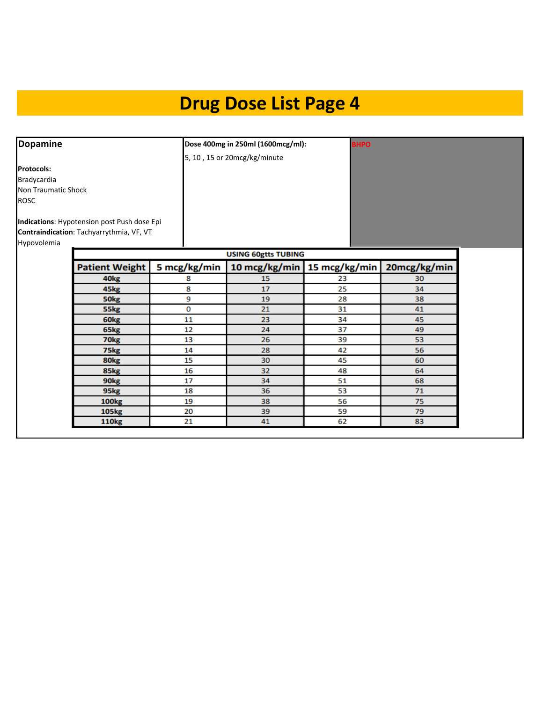| <b>Dopamine</b>                           |                                                                                         |              | Dose 400mg in 250ml (1600mcg/ml): | <b>BHPO</b>                   |              |
|-------------------------------------------|-----------------------------------------------------------------------------------------|--------------|-----------------------------------|-------------------------------|--------------|
|                                           |                                                                                         |              | 5, 10, 15 or 20mcg/kg/minute      |                               |              |
| <b>Protocols:</b><br>Bradycardia          |                                                                                         |              |                                   |                               |              |
| <b>Non Traumatic Shock</b><br><b>ROSC</b> |                                                                                         |              |                                   |                               |              |
| Hypovolemia                               | Indications: Hypotension post Push dose Epi<br>Contraindication: Tachyarrythmia, VF, VT |              |                                   |                               |              |
|                                           |                                                                                         |              | <b>USING 60gtts TUBING</b>        |                               |              |
|                                           | <b>Patient Weight</b>                                                                   | 5 mcg/kg/min |                                   | 10 mcg/kg/min   15 mcg/kg/min | 20mcg/kg/min |
|                                           | 40 <sub>kg</sub>                                                                        | 8            | 15                                | 23                            | 30           |
|                                           | 45 <sub>kg</sub>                                                                        | 8            | 17                                | 25                            | 34           |
|                                           | 50 <sub>kg</sub>                                                                        | 9            | 19                                | 28                            | 38           |
|                                           | 55kg                                                                                    | 0            | 21                                | 31                            | 41           |
|                                           | 60 <sub>kg</sub>                                                                        | 11           | 23                                | 34                            | 45           |
|                                           | 65kg                                                                                    | 12           | 24                                | 37                            | 49           |
|                                           | 70 <sub>kg</sub>                                                                        | 13           | 26                                | 39                            | 53           |
|                                           | 75kg                                                                                    | 14           | 28                                | 42                            | 56           |
|                                           | 80 <sub>kg</sub>                                                                        | 15           | 30                                | 45                            | 60           |
|                                           | 85kg                                                                                    | 16           | 32                                | 48                            | 64           |
|                                           | 90 <sub>kg</sub>                                                                        | 17           | 34                                | 51                            | 68           |
|                                           | 95kg                                                                                    | 18           | 36                                | 53                            | 71           |
|                                           | <b>100kg</b>                                                                            | 19           | 38                                | 56                            | 75           |
|                                           | 105kg                                                                                   | 20           | 39                                | 59                            | 79           |
|                                           | <b>110kg</b>                                                                            | 21           | 41                                | 62                            | 83           |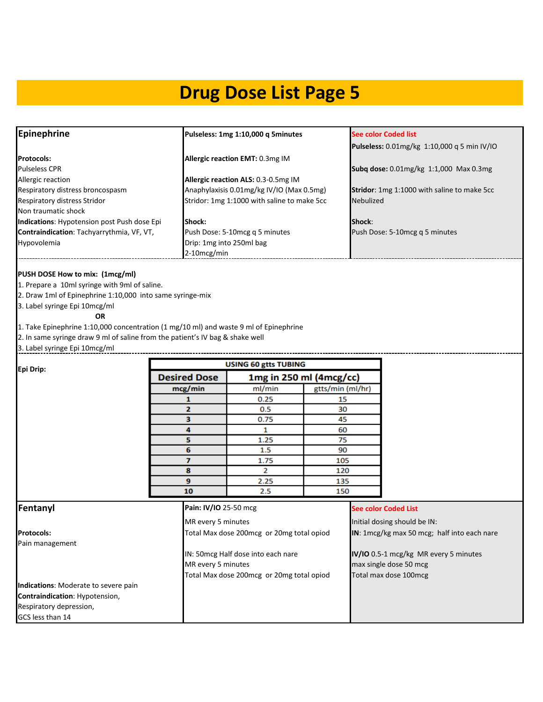| <b>Epinephrine</b>                                 | Pulseless: 1mg 1:10,000 q 5minutes          | <b>See color Coded list</b>                 |
|----------------------------------------------------|---------------------------------------------|---------------------------------------------|
|                                                    |                                             | Pulseless: 0.01mg/kg 1:10,000 q 5 min IV/IO |
| <b>Protocols:</b>                                  | Allergic reaction EMT: 0.3mg IM             |                                             |
| <b>Pulseless CPR</b>                               |                                             | Subq dose: 0.01mg/kg 1:1,000 Max 0.3mg      |
| Allergic reaction                                  | Allergic reaction ALS: 0.3-0.5mg IM         |                                             |
| Respiratory distress broncospasm                   | Anaphylaxisis 0.01mg/kg IV/IO (Max 0.5mg)   | Stridor: 1mg 1:1000 with saline to make 5cc |
| Respiratory distress Stridor                       | Stridor: 1mg 1:1000 with saline to make 5cc | <b>Nebulized</b>                            |
| Non traumatic shock                                |                                             |                                             |
| <b>Indications: Hypotension post Push dose Epi</b> | <b>Shock:</b>                               | Shock:                                      |
| Contraindication: Tachyarrythmia, VF, VT,          | Push Dose: 5-10mcg q 5 minutes              | Push Dose: 5-10mcg q 5 minutes              |
| Hypovolemia                                        | Drip: 1mg into 250ml bag                    |                                             |
|                                                    | $2-10$ mcg/min                              |                                             |

#### **PUSH DOSE How to mix: (1mcg/ml)**

1. Prepare a 10ml syringe with 9ml of saline.

2. Draw 1ml of Epinephrine 1:10,000 into same syringe-mix

3. Label syringe Epi 10mcg/ml

**OR**

1. Take Epinephrine 1:10,000 concentration (1 mg/10 ml) and waste 9 ml of Epinephrine

2. In same syringe draw 9 ml of saline from the patient's IV bag & shake well

3. Label syringe Epi 10mcg/ml

|                                      |                       | <b>USING 60 gtts TUBING</b>               |                  |                                             |
|--------------------------------------|-----------------------|-------------------------------------------|------------------|---------------------------------------------|
| Epi Drip:                            | <b>Desired Dose</b>   | 1mg in 250 ml (4mcg/cc)                   |                  |                                             |
|                                      | mcg/min               | ml/min                                    | gtts/min (ml/hr) |                                             |
|                                      | 1                     | 0.25                                      | 15               |                                             |
|                                      | $\mathbf{z}$          | 0.5                                       | 30               |                                             |
|                                      | 3                     | 0.75                                      | 45               |                                             |
|                                      | 4                     | 1                                         | 60               |                                             |
|                                      | 5                     | 1.25                                      | 75               |                                             |
|                                      | 6                     | 1.5                                       | 90               |                                             |
|                                      | 7                     | 1.75                                      | 105              |                                             |
|                                      | 8                     | $\overline{2}$                            | 120              |                                             |
|                                      | 9                     | 2.25                                      | 135              |                                             |
|                                      | 10                    | 2.5                                       | 150              |                                             |
| Fentanyl                             | Pain: IV/IO 25-50 mcg |                                           |                  | <b>See color Coded List</b>                 |
|                                      | MR every 5 minutes    |                                           |                  | Initial dosing should be IN:                |
| <b>Protocols:</b>                    |                       | Total Max dose 200mcg or 20mg total opiod |                  | IN: 1mcg/kg max 50 mcg; half into each nare |
| Pain management                      |                       |                                           |                  |                                             |
|                                      |                       | IN: 50mcg Half dose into each nare        |                  | IV/IO 0.5-1 mcg/kg MR every 5 minutes       |
|                                      | MR every 5 minutes    |                                           |                  | max single dose 50 mcg                      |
|                                      |                       | Total Max dose 200mcg or 20mg total opiod |                  | Total max dose 100mcg                       |
| Indications: Moderate to severe pain |                       |                                           |                  |                                             |
| Contraindication: Hypotension,       |                       |                                           |                  |                                             |
| Respiratory depression,              |                       |                                           |                  |                                             |
| GCS less than 14                     |                       |                                           |                  |                                             |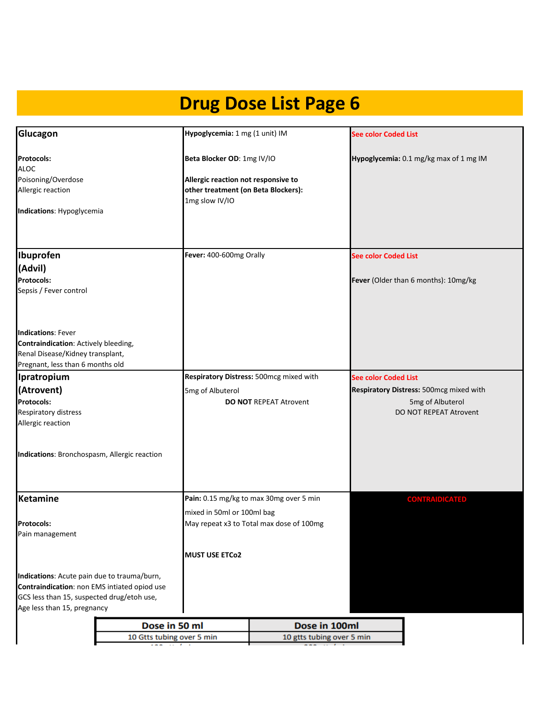| Glucagon                                                                                                                                                                 | Hypoglycemia: 1 mg (1 unit) IM                                                                                             |                                          | <b>See color Coded List</b>                                                           |
|--------------------------------------------------------------------------------------------------------------------------------------------------------------------------|----------------------------------------------------------------------------------------------------------------------------|------------------------------------------|---------------------------------------------------------------------------------------|
| <b>Protocols:</b><br><b>ALOC</b><br>Poisoning/Overdose<br>Allergic reaction                                                                                              | Beta Blocker OD: 1mg IV/IO<br>Allergic reaction not responsive to<br>other treatment (on Beta Blockers):<br>1mg slow IV/IO |                                          | Hypoglycemia: 0.1 mg/kg max of 1 mg IM                                                |
| Indications: Hypoglycemia                                                                                                                                                |                                                                                                                            |                                          |                                                                                       |
| Ibuprofen                                                                                                                                                                | Fever: 400-600mg Orally                                                                                                    |                                          | <b>See color Coded List</b>                                                           |
| (Advil)<br><b>Protocols:</b><br>Sepsis / Fever control                                                                                                                   |                                                                                                                            |                                          | Fever (Older than 6 months): 10mg/kg                                                  |
| <b>Indications: Fever</b><br>Contraindication: Actively bleeding,<br>Renal Disease/Kidney transplant,<br>Pregnant, less than 6 months old                                |                                                                                                                            |                                          |                                                                                       |
| Ipratropium                                                                                                                                                              |                                                                                                                            | Respiratory Distress: 500mcg mixed with  | <b>See color Coded List</b>                                                           |
| (Atrovent)<br><b>Protocols:</b><br>Respiratory distress<br>Allergic reaction                                                                                             | 5mg of Albuterol                                                                                                           | <b>DO NOT REPEAT Atrovent</b>            | Respiratory Distress: 500mcg mixed with<br>5mg of Albuterol<br>DO NOT REPEAT Atrovent |
| Indications: Bronchospasm, Allergic reaction                                                                                                                             |                                                                                                                            |                                          |                                                                                       |
| Ketamine                                                                                                                                                                 |                                                                                                                            | Pain: 0.15 mg/kg to max 30mg over 5 min  | <b>CONTRAIDICATED</b>                                                                 |
| <b>Protocols:</b><br>Pain management                                                                                                                                     | mixed in 50ml or 100ml bag                                                                                                 | May repeat x3 to Total max dose of 100mg |                                                                                       |
|                                                                                                                                                                          | <b>MUST USE ETCo2</b>                                                                                                      |                                          |                                                                                       |
| Indications: Acute pain due to trauma/burn,<br>Contraindication: non EMS intiated opiod use<br>GCS less than 15, suspected drug/etoh use,<br>Age less than 15, pregnancy |                                                                                                                            |                                          |                                                                                       |
| Dose in 50 ml                                                                                                                                                            |                                                                                                                            | Dose in 100ml                            |                                                                                       |
| 10 Gtts tubing over 5 min                                                                                                                                                |                                                                                                                            | 10 gtts tubing over 5 min                |                                                                                       |

| 10 Gtts tubing over 5 min | 10 gtts tubing over 5 min |
|---------------------------|---------------------------|
| .                         |                           |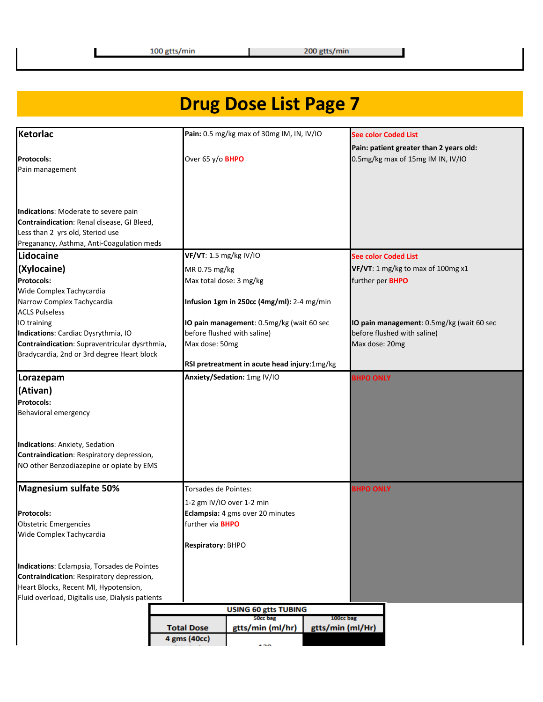| Ketorlac                                         |                         | Pain: 0.5 mg/kg max of 30mg IM, IN, IV/IO    |                  | <b>See color Coded List</b>               |
|--------------------------------------------------|-------------------------|----------------------------------------------|------------------|-------------------------------------------|
|                                                  |                         |                                              |                  | Pain: patient greater than 2 years old:   |
| <b>Protocols:</b>                                | Over 65 y/o <b>BHPO</b> |                                              |                  | 0.5mg/kg max of 15mg IM IN, IV/IO         |
| Pain management                                  |                         |                                              |                  |                                           |
|                                                  |                         |                                              |                  |                                           |
|                                                  |                         |                                              |                  |                                           |
| Indications: Moderate to severe pain             |                         |                                              |                  |                                           |
| Contraindication: Renal disease, GI Bleed,       |                         |                                              |                  |                                           |
| Less than 2 yrs old, Steriod use                 |                         |                                              |                  |                                           |
| Preganancy, Asthma, Anti-Coagulation meds        |                         |                                              |                  |                                           |
| Lidocaine                                        | VF/VT: 1.5 mg/kg IV/IO  |                                              |                  | <b>See color Coded List</b>               |
| (Xylocaine)                                      | MR 0.75 mg/kg           |                                              |                  | VF/VT: 1 mg/kg to max of 100mg x1         |
| Protocols:                                       |                         | Max total dose: 3 mg/kg                      |                  | further per <b>BHPO</b>                   |
| Wide Complex Tachycardia                         |                         |                                              |                  |                                           |
| Narrow Complex Tachycardia                       |                         | Infusion 1gm in 250cc (4mg/ml): 2-4 mg/min   |                  |                                           |
| <b>ACLS Pulseless</b>                            |                         |                                              |                  |                                           |
| IO training                                      |                         | IO pain management: 0.5mg/kg (wait 60 sec    |                  | IO pain management: 0.5mg/kg (wait 60 sec |
| Indications: Cardiac Dysrythmia, IO              |                         | before flushed with saline)                  |                  | before flushed with saline)               |
| Contraindication: Supraventricular dysrthmia,    | Max dose: 50mg          |                                              |                  | Max dose: 20mg                            |
| Bradycardia, 2nd or 3rd degree Heart block       |                         | RSI pretreatment in acute head injury:1mg/kg |                  |                                           |
| Lorazepam                                        |                         | Anxiety/Sedation: 1mg IV/IO                  |                  | <b>BHPO ONLY</b>                          |
| (Ativan)                                         |                         |                                              |                  |                                           |
| Protocols:                                       |                         |                                              |                  |                                           |
| Behavioral emergency                             |                         |                                              |                  |                                           |
|                                                  |                         |                                              |                  |                                           |
| Indications: Anxiety, Sedation                   |                         |                                              |                  |                                           |
| Contraindication: Respiratory depression,        |                         |                                              |                  |                                           |
| NO other Benzodiazepine or opiate by EMS         |                         |                                              |                  |                                           |
|                                                  |                         |                                              |                  |                                           |
| <b>Magnesium sulfate 50%</b>                     | Torsades de Pointes:    |                                              |                  | <b>BHPO ONLY</b>                          |
|                                                  |                         | 1-2 gm IV/IO over 1-2 min                    |                  |                                           |
| <b>Protocols:</b>                                |                         | Eclampsia: 4 gms over 20 minutes             |                  |                                           |
| Obstetric Emergencies                            | further via <b>BHPO</b> |                                              |                  |                                           |
| Wide Complex Tachycardia                         |                         |                                              |                  |                                           |
|                                                  | Respiratory: BHPO       |                                              |                  |                                           |
| Indications: Eclampsia, Torsades de Pointes      |                         |                                              |                  |                                           |
| Contraindication: Respiratory depression,        |                         |                                              |                  |                                           |
| Heart Blocks, Recent MI, Hypotension,            |                         |                                              |                  |                                           |
| Fluid overload, Digitalis use, Dialysis patients |                         |                                              |                  |                                           |
|                                                  |                         | <b>USING 60 gtts TUBING</b>                  |                  |                                           |
|                                                  |                         | 50cc bag                                     | 100cc bag        |                                           |
|                                                  | <b>Total Dose</b>       | gtts/min (ml/hr)                             | gtts/min (ml/Hr) |                                           |
|                                                  | 4 gms (40cc)            |                                              |                  |                                           |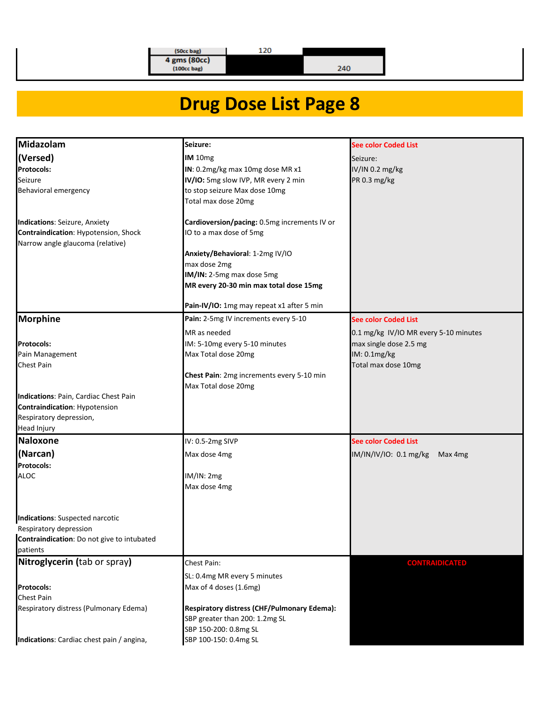120

 $\begin{array}{c} (50cc \text{ bag}) \\ 4 \text{ gms} (80cc) \\ (100cc \text{ bag}) \end{array}$ 

 $240$ 

| Midazolam                                                             | Seizure:                                                                | <b>See color Coded List</b>           |
|-----------------------------------------------------------------------|-------------------------------------------------------------------------|---------------------------------------|
| (Versed)                                                              | IM 10mg                                                                 | Seizure:                              |
| Protocols:                                                            | IN: 0.2mg/kg max 10mg dose MR x1                                        | IV/IN 0.2 mg/kg                       |
| Seizure                                                               | IV/IO: 5mg slow IVP, MR every 2 min                                     | PR 0.3 mg/kg                          |
| Behavioral emergency                                                  | to stop seizure Max dose 10mg                                           |                                       |
|                                                                       | Total max dose 20mg                                                     |                                       |
|                                                                       |                                                                         |                                       |
| Indications: Seizure, Anxiety<br>Contraindication: Hypotension, Shock | Cardioversion/pacing: 0.5mg increments IV or<br>IO to a max dose of 5mg |                                       |
| Narrow angle glaucoma (relative)                                      |                                                                         |                                       |
|                                                                       | Anxiety/Behavioral: 1-2mg IV/IO                                         |                                       |
|                                                                       | max dose 2mg                                                            |                                       |
|                                                                       | IM/IN: 2-5mg max dose 5mg                                               |                                       |
|                                                                       | MR every 20-30 min max total dose 15mg                                  |                                       |
|                                                                       | Pain-IV/IO: 1mg may repeat x1 after 5 min                               |                                       |
| <b>Morphine</b>                                                       | Pain: 2-5mg IV increments every 5-10                                    | <b>See color Coded List</b>           |
|                                                                       | MR as needed                                                            | 0.1 mg/kg IV/IO MR every 5-10 minutes |
| <b>Protocols:</b>                                                     | IM: 5-10mg every 5-10 minutes                                           | max single dose 2.5 mg                |
| Pain Management                                                       | Max Total dose 20mg                                                     | IM: 0.1mg/kg                          |
| <b>Chest Pain</b>                                                     |                                                                         | Total max dose 10mg                   |
|                                                                       | Chest Pain: 2mg increments every 5-10 min                               |                                       |
|                                                                       | Max Total dose 20mg                                                     |                                       |
| Indications: Pain, Cardiac Chest Pain                                 |                                                                         |                                       |
| Contraindication: Hypotension                                         |                                                                         |                                       |
| Respiratory depression,                                               |                                                                         |                                       |
| Head Injury                                                           |                                                                         |                                       |
| <b>Naloxone</b>                                                       | IV: 0.5-2mg SIVP                                                        | <b>See color Coded List</b>           |
| (Narcan)                                                              | Max dose 4mg                                                            | IM/IN/IV/IO: 0.1 mg/kg<br>Max 4mg     |
| Protocols:                                                            |                                                                         |                                       |
| <b>ALOC</b>                                                           | IM/IN: 2mg                                                              |                                       |
|                                                                       | Max dose 4mg                                                            |                                       |
|                                                                       |                                                                         |                                       |
| <b>Indications: Suspected narcotic</b>                                |                                                                         |                                       |
| Respiratory depression                                                |                                                                         |                                       |
| Contraindication: Do not give to intubated                            |                                                                         |                                       |
| patients                                                              |                                                                         |                                       |
| Nitroglycerin (tab or spray)                                          | Chest Pain:                                                             | <b>CONTRAIDICATED</b>                 |
|                                                                       | SL: 0.4mg MR every 5 minutes                                            |                                       |
| <b>Protocols:</b>                                                     | Max of 4 doses (1.6mg)                                                  |                                       |
| Chest Pain                                                            |                                                                         |                                       |
| Respiratory distress (Pulmonary Edema)                                | Respiratory distress (CHF/Pulmonary Edema):                             |                                       |
|                                                                       | SBP greater than 200: 1.2mg SL                                          |                                       |
|                                                                       | SBP 150-200: 0.8mg SL                                                   |                                       |
| Indications: Cardiac chest pain / angina,                             | SBP 100-150: 0.4mg SL                                                   |                                       |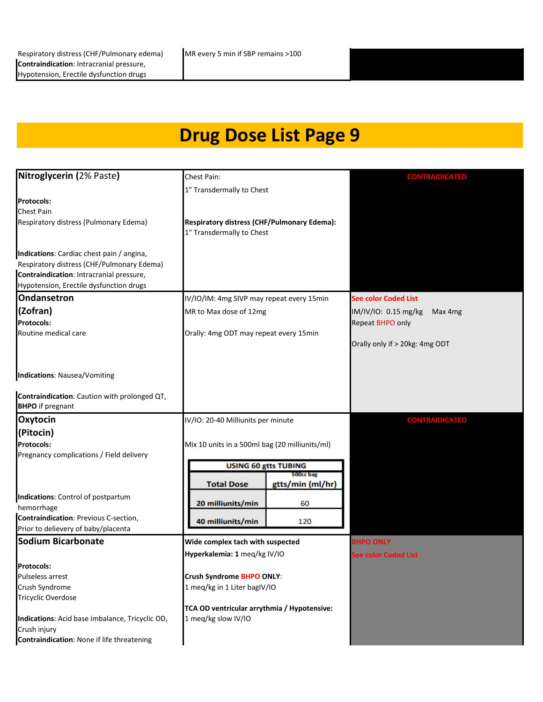| Nitroglycerin (2% Paste)                                   | Chest Pain:                                    |                               | <b>CONTRAIDICATED</b>           |
|------------------------------------------------------------|------------------------------------------------|-------------------------------|---------------------------------|
|                                                            | 1" Transdermally to Chest                      |                               |                                 |
| <b>Protocols:</b>                                          |                                                |                               |                                 |
| <b>Chest Pain</b>                                          |                                                |                               |                                 |
| Respiratory distress (Pulmonary Edema)                     | Respiratory distress (CHF/Pulmonary Edema):    |                               |                                 |
|                                                            | 1" Transdermally to Chest                      |                               |                                 |
| Indications: Cardiac chest pain / angina,                  |                                                |                               |                                 |
| Respiratory distress (CHF/Pulmonary Edema)                 |                                                |                               |                                 |
| Contraindication: Intracranial pressure,                   |                                                |                               |                                 |
| Hypotension, Erectile dysfunction drugs                    |                                                |                               |                                 |
| <b>Ondansetron</b>                                         | IV/IO/IM: 4mg SIVP may repeat every 15min      |                               | <b>See color Coded List</b>     |
| (Zofran)                                                   | MR to Max dose of 12mg                         |                               | IM/IV/IO: 0.15 mg/kg<br>Max 4mg |
| <b>Protocols:</b>                                          |                                                |                               | Repeat BHPO only                |
| Routine medical care                                       | Orally: 4mg ODT may repeat every 15min         |                               |                                 |
|                                                            |                                                |                               | Orally only if > 20kg: 4mg ODT  |
|                                                            |                                                |                               |                                 |
| <b>Indications: Nausea/Vomiting</b>                        |                                                |                               |                                 |
|                                                            |                                                |                               |                                 |
| Contraindication: Caution with prolonged QT,               |                                                |                               |                                 |
| <b>BHPO</b> if pregnant                                    |                                                |                               |                                 |
| <b>Oxytocin</b>                                            | IV/IO: 20-40 Milliunits per minute             |                               | <b>CONTRAIDICATED</b>           |
| (Pitocin)                                                  |                                                |                               |                                 |
| <b>Protocols:</b>                                          | Mix 10 units in a 500ml bag (20 milliunits/ml) |                               |                                 |
| Pregnancy complications / Field delivery                   |                                                |                               |                                 |
|                                                            | <b>USING 60 gtts TUBING</b>                    |                               |                                 |
|                                                            | <b>Total Dose</b>                              | 500cc bag<br>gtts/min (ml/hr) |                                 |
| Indications: Control of postpartum                         |                                                |                               |                                 |
| hemorrhage                                                 | 20 milliunits/min                              | 60                            |                                 |
| Contraindication: Previous C-section,                      | 40 milliunits/min                              | 120                           |                                 |
| Prior to delievery of baby/placenta                        |                                                |                               |                                 |
| <b>Sodium Bicarbonate</b>                                  | Wide complex tach with suspected               |                               | <b>BHPO ONLY</b>                |
|                                                            | Hyperkalemia: 1 meq/kg IV/IO                   |                               | See color Coded List            |
| <b>Protocols:</b>                                          |                                                |                               |                                 |
| Pulseless arrest                                           | Crush Syndrome BHPO ONLY:                      |                               |                                 |
| Crush Syndrome                                             | 1 meq/kg in 1 Liter bagIV/IO                   |                               |                                 |
| Tricyclic Overdose                                         |                                                |                               |                                 |
|                                                            | TCA OD ventricular arrythmia / Hypotensive:    |                               |                                 |
| Indications: Acid base imbalance, Tricyclic OD,            | 1 meg/kg slow IV/IO                            |                               |                                 |
| Crush injury<br>Contraindication: None if life threatening |                                                |                               |                                 |
|                                                            |                                                |                               |                                 |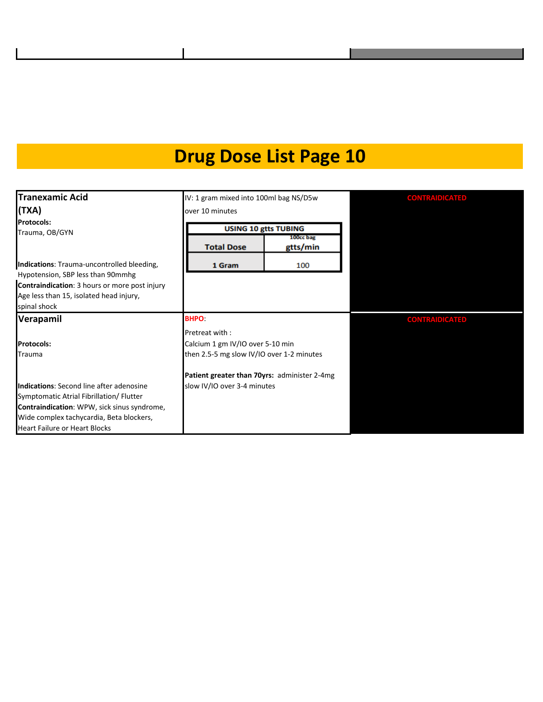| <b>Tranexamic Acid</b>                                                                                   | IV: 1 gram mixed into 100ml bag NS/D5w       |                                  |  |  |
|----------------------------------------------------------------------------------------------------------|----------------------------------------------|----------------------------------|--|--|
| (TXA)                                                                                                    | over 10 minutes                              |                                  |  |  |
| <b>Protocols:</b>                                                                                        | <b>USING 10 gtts TUBING</b>                  |                                  |  |  |
| Trauma, OB/GYN                                                                                           | <b>Total Dose</b>                            | 100cc bag<br>gtts/min            |  |  |
| Indications: Trauma-uncontrolled bleeding,<br>Hypotension, SBP less than 90mmhg                          | 1 Gram                                       | 100                              |  |  |
| Contraindication: 3 hours or more post injury<br>Age less than 15, isolated head injury,<br>spinal shock |                                              |                                  |  |  |
| Verapamil                                                                                                | <b>BHPO</b>                                  |                                  |  |  |
|                                                                                                          | Pretreat with:                               |                                  |  |  |
| <b>Protocols:</b>                                                                                        |                                              | Calcium 1 gm IV/IO over 5-10 min |  |  |
| Trauma                                                                                                   | then 2.5-5 mg slow IV/IO over 1-2 minutes    |                                  |  |  |
|                                                                                                          | Patient greater than 70yrs: administer 2-4mg |                                  |  |  |
| Indications: Second line after adenosine                                                                 | slow IV/IO over 3-4 minutes                  |                                  |  |  |
| Symptomatic Atrial Fibrillation/ Flutter                                                                 |                                              |                                  |  |  |
| <b>Contraindication: WPW, sick sinus syndrome,</b>                                                       |                                              |                                  |  |  |
| Wide complex tachycardia, Beta blockers,                                                                 |                                              |                                  |  |  |
| <b>Heart Failure or Heart Blocks</b>                                                                     |                                              |                                  |  |  |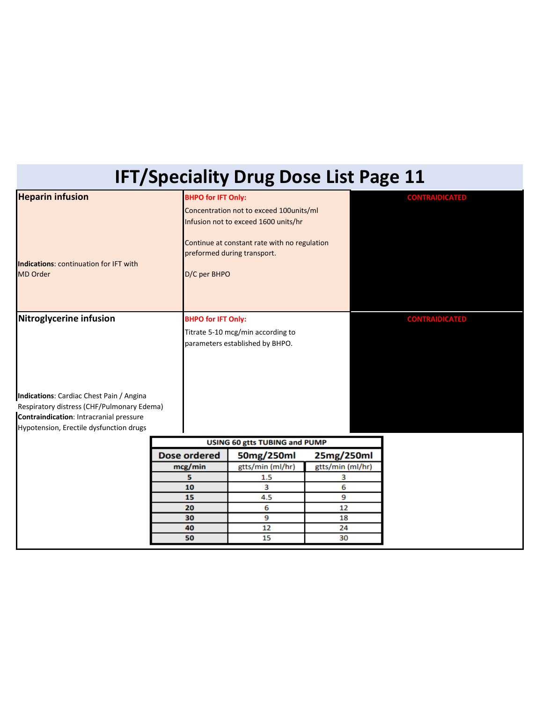# **IFT/Speciality Drug Dose List Page 11**

| <b>Heparin infusion</b>                                   | <b>BHPO for IFT Only:</b> |                                              |                  | <b>CONTRAIDICATED</b> |
|-----------------------------------------------------------|---------------------------|----------------------------------------------|------------------|-----------------------|
|                                                           |                           | Concentration not to exceed 100units/ml      |                  |                       |
|                                                           |                           | Infusion not to exceed 1600 units/hr         |                  |                       |
|                                                           |                           | Continue at constant rate with no regulation |                  |                       |
|                                                           |                           | preformed during transport.                  |                  |                       |
| Indications: continuation for IFT with<br><b>MD Order</b> | D/C per BHPO              |                                              |                  |                       |
|                                                           |                           |                                              |                  |                       |
|                                                           |                           |                                              |                  |                       |
|                                                           |                           |                                              |                  |                       |
| Nitroglycerine infusion                                   | <b>BHPO for IFT Only:</b> |                                              |                  | <b>CONTRAIDICATED</b> |
|                                                           |                           | Titrate 5-10 mcg/min according to            |                  |                       |
|                                                           |                           | parameters established by BHPO.              |                  |                       |
|                                                           |                           |                                              |                  |                       |
|                                                           |                           |                                              |                  |                       |
|                                                           |                           |                                              |                  |                       |
| Indications: Cardiac Chest Pain / Angina                  |                           |                                              |                  |                       |
| Respiratory distress (CHF/Pulmonary Edema)                |                           |                                              |                  |                       |
| Contraindication: Intracranial pressure                   |                           |                                              |                  |                       |
| Hypotension, Erectile dysfunction drugs                   |                           |                                              |                  |                       |
|                                                           |                           | <b>USING 60 gtts TUBING and PUMP</b>         |                  |                       |
|                                                           | <b>Dose ordered</b>       | 50mg/250ml                                   | 25mg/250ml       |                       |
|                                                           | mcg/min                   | gtts/min (ml/hr)                             | gtts/min (ml/hr) |                       |
|                                                           | 5                         | 1.5                                          | з                |                       |
|                                                           | 10                        | 3                                            | 6                |                       |
|                                                           | 9<br>15<br>4.5            |                                              |                  |                       |
|                                                           | 20                        | 6                                            | 12               |                       |
|                                                           | 30                        | 9                                            | 18               |                       |
|                                                           | 40                        | 12                                           | 24               |                       |
|                                                           | 50                        | 15                                           | 30               |                       |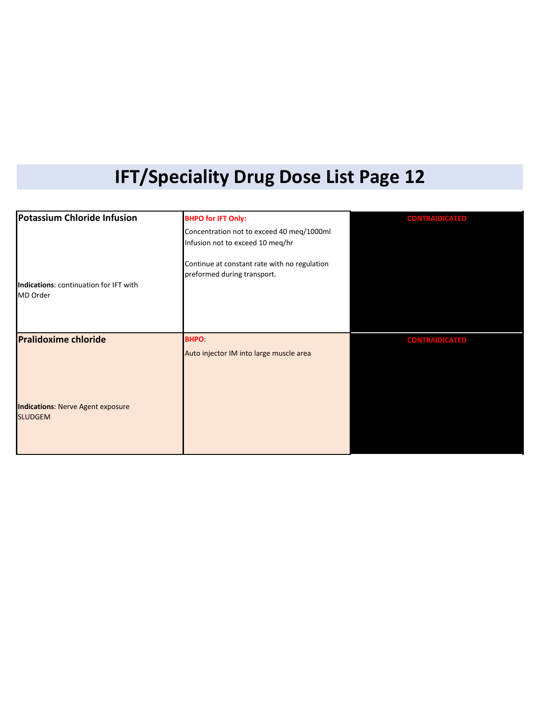## **IFT/Speciality Drug Dose List Page 12**

| Potassium Chloride Infusion                                | <b>BHPO for IFT Only:</b>                                                   | <b>CONTRAIDICATED</b> |
|------------------------------------------------------------|-----------------------------------------------------------------------------|-----------------------|
|                                                            | Concentration not to exceed 40 meq/1000ml                                   |                       |
|                                                            | Infusion not to exceed 10 meq/hr                                            |                       |
|                                                            | Continue at constant rate with no regulation<br>preformed during transport. |                       |
| Indications: continuation for IFT with<br>MD Order         |                                                                             |                       |
|                                                            |                                                                             |                       |
| <b>Pralidoxime chloride</b>                                | <b>BHPO</b>                                                                 | <b>CONTRAIDICATED</b> |
|                                                            | Auto injector IM into large muscle area                                     |                       |
|                                                            |                                                                             |                       |
| <b>Indications: Nerve Agent exposure</b><br><b>SLUDGEM</b> |                                                                             |                       |
|                                                            |                                                                             |                       |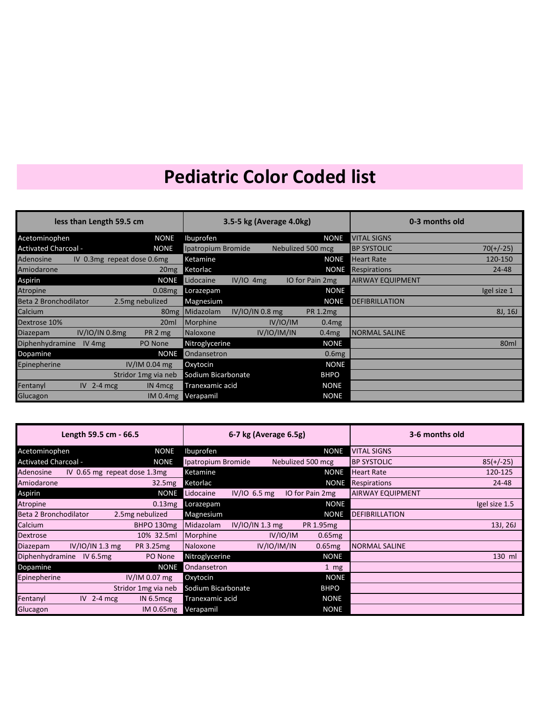| less than Length 59.5 cm          |                              | 3.5-5 kg (Average 4.0kg) |                 |             | 0-3 months old    |                         |                  |
|-----------------------------------|------------------------------|--------------------------|-----------------|-------------|-------------------|-------------------------|------------------|
| Acetominophen                     | <b>NONE</b>                  | Ibuprofen                |                 |             | <b>NONE</b>       | VITAL SIGNS             |                  |
| <b>Activated Charcoal -</b>       | <b>NONE</b>                  | Ipatropium Bromide       |                 |             | Nebulized 500 mcg | <b>BP SYSTOLIC</b>      | $70(+/-25)$      |
| Adenosine                         | IV 0.3 mg repeat dose 0.6 mg | Ketamine                 |                 |             | <b>NONE</b>       | <b>Heart Rate</b>       | 120-150          |
| Amiodarone                        | 20 <sub>mg</sub>             | Ketorlac                 |                 |             | <b>NONE</b>       | Respirations            | 24-48            |
| Aspirin                           | <b>NONE</b>                  | Lidocaine                | $IV/IO$ 4mg     |             | IO for Pain 2mg   | <b>AIRWAY EQUIPMENT</b> |                  |
| <b>Atropine</b>                   | $0.08$ mg                    | Lorazepam                |                 |             | <b>NONE</b>       |                         | Igel size 1      |
| Beta 2 Bronchodilator             | 2.5mg nebulized              | Magnesium                |                 |             | <b>NONE</b>       | <b>DEFIBRILLATION</b>   |                  |
| <b>Calcium</b>                    | 80 <sub>mg</sub>             | Midazolam                | IV/IO/IN 0.8 mg |             | <b>PR 1.2mg</b>   |                         | 8J, 16J          |
| Dextrose 10%                      | 20 <sub>ml</sub>             | Morphine                 |                 | IV/IO/IM    | 0.4mg             |                         |                  |
| IV/IO/IN 0.8mg<br><b>Diazepam</b> | PR 2 mg                      | Naloxone                 |                 | IV/IO/IM/IN | 0.4 <sub>mg</sub> | <b>NORMAL SALINE</b>    |                  |
| Diphenhydramine<br>IV $4mg$       | PO None                      | Nitroglycerine           |                 |             | <b>NONE</b>       |                         | 80 <sub>ml</sub> |
| Dopamine                          | <b>NONE</b>                  | Ondansetron              |                 |             | 0.6mg             |                         |                  |
| Epinepherine                      | $IV/IM$ 0.04 mg              | Oxytocin                 |                 |             | <b>NONE</b>       |                         |                  |
|                                   | Stridor 1mg via neb          | Sodium Bicarbonate       |                 |             | <b>BHPO</b>       |                         |                  |
| Fentanyl<br>IV $2-4$ mcg          | IN 4 <sub>mcg</sub>          | Tranexamic acid          |                 |             | <b>NONE</b>       |                         |                  |
| Glucagon                          | IM <sub>0.4</sub> mg         | Verapamil                |                 |             | <b>NONE</b>       |                         |                  |

| Length 59.5 cm - 66.5         |                               | 6-7 kg (Average 6.5g) |                 |             | 3-6 months old    |                         |               |
|-------------------------------|-------------------------------|-----------------------|-----------------|-------------|-------------------|-------------------------|---------------|
| Acetominophen                 | <b>NONE</b>                   | Ibuprofen             |                 |             | <b>NONE</b>       | <b>VITAL SIGNS</b>      |               |
| <b>Activated Charcoal -</b>   | <b>NONE</b>                   | Ipatropium Bromide    |                 |             | Nebulized 500 mcg | <b>BP SYSTOLIC</b>      | $85(+/-25)$   |
| Adenosine                     | IV 0.65 mg repeat dose 1.3 mg | Ketamine              |                 |             | <b>NONE</b>       | <b>Heart Rate</b>       | 120-125       |
| Amiodarone                    | 32.5mg                        | Ketorlac              |                 |             | <b>NONE</b>       | <b>Respirations</b>     | 24-48         |
| Aspirin                       | <b>NONE</b>                   | Lidocaine             | $IV/IO$ 6.5 mg  |             | IO for Pain 2mg   | <b>AIRWAY EQUIPMENT</b> |               |
| Atropine                      | 0.13mg                        | Lorazepam             |                 |             | <b>NONE</b>       |                         | Igel size 1.5 |
| Beta 2 Bronchodilator         | 2.5mg nebulized               | Magnesium             |                 |             | <b>NONE</b>       | <b>DEFIBRILLATION</b>   |               |
| Calcium                       | BHPO 130mg                    | Midazolam             | IV/IO/IN 1.3 mg |             | PR 1.95 mg        |                         | 13J, 26J      |
| Dextrose                      | 10% 32.5ml                    | Morphine              |                 | IV/IO/IM    | $0.65$ mg         |                         |               |
| IV/IO/IN 1.3 mg<br>Diazepam   | PR 3.25mg                     | Naloxone              |                 | IV/IO/IM/IN | $0.65$ mg         | <b>NORMAL SALINE</b>    |               |
| Diphenhydramine<br>IV $6.5mg$ | PO None                       | Nitroglycerine        |                 |             | <b>NONE</b>       |                         | 130 ml        |
| Dopamine                      | <b>NONE</b>                   | Ondansetron           |                 |             | $1 \, \text{mg}$  |                         |               |
| Epinepherine                  | $IV/IM$ 0.07 mg               | Oxytocin              |                 |             | <b>NONE</b>       |                         |               |
|                               | Stridor 1mg via neb           | Sodium Bicarbonate    |                 |             | <b>BHPO</b>       |                         |               |
| Fentanyl<br>IV $2-4$ mcg      | IN $6.5$ mcg                  | Tranexamic acid       |                 |             | <b>NONE</b>       |                         |               |
| Glucagon                      | IM 0.65mg                     | Verapamil             |                 |             | <b>NONE</b>       |                         |               |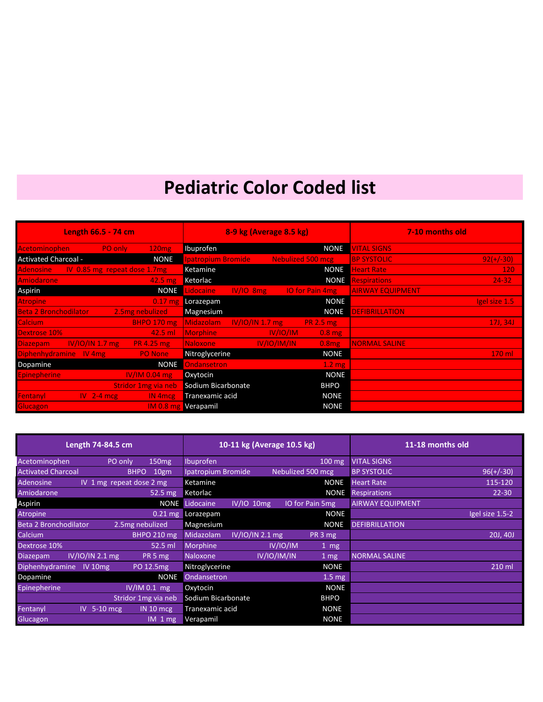| <b>Length 66.5 - 74 cm</b>                           |                                   | 8-9 kg (Average 8.5 kg) |                          |                        | 7-10 months old                   |
|------------------------------------------------------|-----------------------------------|-------------------------|--------------------------|------------------------|-----------------------------------|
| 120mg<br><b>PO only</b><br>Acetominophen             | Ibuprofen                         |                         |                          | <b>NONE</b>            | <b>VITAL SIGNS</b>                |
| <b>Activated Charcoal -</b><br><b>NONE</b>           | patropium Bromide                 |                         | <b>Nebulized 500 mcg</b> |                        | $92(+/-30)$<br><b>BP SYSTOLIC</b> |
| IV 0.85 mg repeat dose 1.7 mg<br><b>Adenosine</b>    | Ketamine                          |                         |                          | <b>NONE</b>            | <b>Heart Rate</b><br><b>120</b>   |
| <b>Amiodarone</b><br>$42.5 \text{ mg}$               | Ketorlac                          |                         |                          | <b>NONE</b>            | $24 - 32$<br><b>Respirations</b>  |
| Aspirin                                              | <b>NONE</b><br>Lidocaine          | $IV/IO$ $8mg$           |                          | <b>IO</b> for Pain 4mg | <b>AIRWAY EQUIPMENT</b>           |
| <b>Atropine</b><br>$0.17$ mg                         | Lorazepam                         |                         |                          | <b>NONE</b>            | lgel size 1.5                     |
| <b>Beta 2 Bronchodilator</b><br>2.5mg nebulized      | Magnesium                         |                         |                          | <b>NONE</b>            | <b>DEFIBRILLATION</b>             |
| Calcium,<br><b>BHPO 170 mg</b>                       | Midazolam                         | IV/IO/IN 1.7 mg         |                          | <b>PR 2.5 mg</b>       | 17J, 34J,                         |
| Dextrose 10%<br>$42.5$ ml                            | <b>Morphine</b>                   |                         | IV/IO/IM                 | $0.8$ mg               |                                   |
| IV/IO/IN 1.7 mg<br><b>PR 4.25 mg</b><br>Diazepam,    | <b>Naloxone</b>                   |                         | IV/IO/IM/IN              | 0.8mg                  | <b>NORMAL SALINE</b>              |
| <b>Diphenhydramine</b><br><b>PO</b> None<br>$IV$ 4mg | Nitroglycerine                    |                         |                          | <b>NONE</b>            | 170 ml                            |
| Dopamine                                             | <b>Ondansetron</b><br><b>NONE</b> |                         |                          | 1.2 <sub>mg</sub>      |                                   |
| IV/IM 0.04 mg<br><b>Epinepherine</b>                 | Oxytocin                          |                         |                          | <b>NONE</b>            |                                   |
| Stridor 1mg via neb                                  | Sodium Bicarbonate                |                         |                          | <b>BHPO</b>            |                                   |
| Fentanyl<br>$IV$ 2-4 mcg<br>IN 4 mcg                 | Tranexamic acid                   |                         |                          | <b>NONE</b>            |                                   |
| Glucagon,<br><b>IM 0.8 mg</b>                        | Verapamil                         |                         |                          | <b>NONE</b>            |                                   |

| Length 74-84.5 cm                  |                          |                      | 10-11 kg (Average 10.5 kg) |  |                 |                   |                     |                         | 11-18 months old |
|------------------------------------|--------------------------|----------------------|----------------------------|--|-----------------|-------------------|---------------------|-------------------------|------------------|
| Acetominophen                      | PO only                  | 150mg                | Ibuprofen                  |  |                 |                   | $100$ mg            | <b>VITAL SIGNS</b>      |                  |
| <b>Activated Charcoal</b>          | <b>BHPO</b>              | 10gm                 | Ipatropium Bromide         |  |                 | Nebulized 500 mcg |                     | <b>BP SYSTOLIC</b>      | $96(+/-30)$      |
| <b>Adenosine</b>                   | IV 1 mg repeat dose 2 mg |                      | Ketamine                   |  |                 |                   | <b>NONE</b>         | <b>Heart Rate</b>       | 115-120          |
| Amiodarone                         |                          | $52.5 \text{ mg}$    | Ketorlac                   |  |                 |                   | <b>NONE</b>         | <b>Respirations</b>     | $22 - 30$        |
| <b>Aspirin</b>                     |                          | <b>NONE</b>          | Lidocaine                  |  | IV/IO 10mg      | IO for Pain 5mg   |                     | <b>AIRWAY EQUIPMENT</b> |                  |
| <b>Atropine</b>                    |                          | $0.21 \,\mathrm{mg}$ | Lorazepam                  |  |                 |                   | <b>NONE</b>         |                         | Igel size 1.5-2  |
| <b>Beta 2 Bronchodilator</b>       | 2.5mg nebulized          |                      | Magnesium                  |  |                 |                   | <b>NONE</b>         | <b>DEFIBRILLATION</b>   |                  |
| Calcium                            |                          | <b>BHPO 210 mg</b>   | Midazolam                  |  | IV/IO/IN 2.1 mg |                   | PR 3 mg             |                         | 20J, 40J         |
| Dextrose 10%                       |                          | 52.5 ml              | Morphine                   |  | IV/IO/IM        |                   | $1 \text{ mg}$      |                         |                  |
| IV/IO/IN 2.1 mg<br><b>Diazepam</b> |                          | PR <sub>5</sub> mg   | Naloxone                   |  | IV/IO/IM/IN     |                   | 1 mg                | <b>NORMAL SALINE</b>    |                  |
| Diphenhydramine IV 10mg            |                          | PO 12.5mg            | Nitroglycerine             |  |                 |                   | <b>NONE</b>         |                         | 210 ml           |
| Dopamine                           |                          | <b>NONE</b>          | Ondansetron                |  |                 |                   | $1.5 \overline{mg}$ |                         |                  |
| Epinepherine                       | IV/IM 0.1 mg             |                      | Oxytocin                   |  |                 |                   | <b>NONE</b>         |                         |                  |
|                                    | Stridor 1mg via neb      |                      | Sodium Bicarbonate         |  |                 |                   | <b>BHPO</b>         |                         |                  |
| Fentanyl<br>$IV$ 5-10 mcg          |                          | IN 10 m cg           | Tranexamic acid            |  |                 |                   | <b>NONE</b>         |                         |                  |
| Glucagon                           |                          | $IM$ 1 mg            | Verapamil                  |  |                 |                   | <b>NONE</b>         |                         |                  |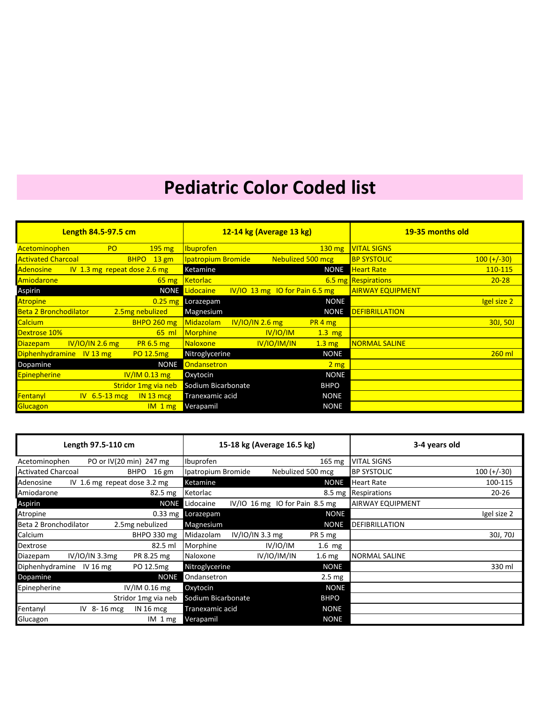| Length 84.5-97.5 cm                                         | 12-14 kg (Average 13 kg)                           | 19-35 months old                    |
|-------------------------------------------------------------|----------------------------------------------------|-------------------------------------|
| Acetominophen<br><b>PO</b><br>$195 \text{ mg}$              | <b>Ibuprofen</b><br>$130 \text{ mg}$               | <b>VITAL SIGNS</b>                  |
| <b>Activated Charcoal</b><br>$13 \text{ gm}$<br><b>BHPO</b> | <b>Ipatropium Bromide</b><br>Nebulized 500 mcg     | $100 (+/-30)$<br><b>BP SYSTOLIC</b> |
| IV 1.3 mg repeat dose 2.6 mg<br>Adenosine                   | Ketamine<br><b>NONE</b>                            | <b>Heart Rate</b><br>110-115        |
| Amiodarone<br>$65 \text{ mg}$                               | <b>Ketorlac</b>                                    | 6.5 mg Respirations<br>$20 - 28$    |
| Aspirin<br><b>NONE</b>                                      | $IV/IO$ 13 mg IO for Pain 6.5 mg<br>Lidocaine      | <b>AIRWAY EQUIPMENT</b>             |
| <b>Atropine</b><br>$0.25$ mg                                | <b>NONE</b><br>Lorazepam                           | Igel size 2                         |
| <b>Beta 2 Bronchodilator</b><br>2.5mg nebulized             | Magnesium<br><b>NONE</b>                           | <b>DEFIBRILLATION</b>               |
| Calcium<br><b>BHPO 260 mg</b>                               | $IV/IO/IN$ 2.6 mg<br><b>Midazolam</b><br>PR 4 mg   | <b>30J, 50J</b>                     |
| Dextrose 10%<br>$65$ ml                                     | IV/IO/IM<br><b>Morphine</b><br>$1.3$ mg            |                                     |
| IV/IO/IN 2.6 mg<br>Diazepam<br>PR 6.5 mg                    | IV/IO/IM/IN<br><b>Naloxone</b><br>$1.3 \text{ mg}$ | <b>NORMAL SALINE</b>                |
| Diphenhydramine<br>PO 12.5mg<br>$IV$ 13 mg                  | Nitroglycerine<br><b>NONE</b>                      | 260 ml                              |
| Dopamine<br><b>NONE</b>                                     | Ondansetron<br>$2 \, \text{mg}$                    |                                     |
| <b>Epinepherine</b><br>$IV/IM$ 0.13 mg                      | <b>NONE</b><br>Oxytocin                            |                                     |
| Stridor 1mg via neb                                         | Sodium Bicarbonate<br><b>BHPO</b>                  |                                     |
| $IV$ 6.5-13 mcg<br>IN 13 mcg<br>Fentanyl                    | <b>NONE</b><br>Tranexamic acid                     |                                     |
| Glucagon<br>$IM_1mg$                                        | <b>NONE</b><br>Verapamil                           |                                     |

| Length 97.5-110 cm                        |                                | 15-18 kg (Average 16.5 kg) |                                |                   | 3-4 years old     |                         |               |
|-------------------------------------------|--------------------------------|----------------------------|--------------------------------|-------------------|-------------------|-------------------------|---------------|
| Acetominophen                             | PO or IV(20 min) 247 mg        | Ibuprofen                  |                                |                   | 165 mg            | <b>VITAL SIGNS</b>      |               |
| <b>Activated Charcoal</b>                 | $16 \text{ gm}$<br><b>BHPO</b> | Ipatropium Bromide         |                                | Nebulized 500 mcg |                   | <b>BP SYSTOLIC</b>      | $100 (+/-30)$ |
| IV 1.6 mg repeat dose 3.2 mg<br>Adenosine |                                | Ketamine                   |                                |                   | <b>NONE</b>       | <b>Heart Rate</b>       | 100-115       |
| Amiodarone                                | $82.5 \text{ mg}$              | Ketorlac                   |                                |                   |                   | 8.5 mg Respirations     | $20 - 26$     |
| Aspirin                                   | <b>NONE</b>                    | Lidocaine                  | IV/IO 16 mg IO for Pain 8.5 mg |                   |                   | <b>AIRWAY EQUIPMENT</b> |               |
| Atropine                                  |                                | 0.33 mg Lorazepam          |                                |                   | <b>NONE</b>       |                         | Igel size 2   |
| Beta 2 Bronchodilator                     | 2.5mg nebulized                | Magnesium                  |                                |                   | <b>NONE</b>       | <b>DEFIBRILLATION</b>   |               |
| Calcium                                   | BHPO 330 mg                    | Midazolam                  | $IV/IO/IN$ 3.3 mg              |                   | PR 5 mg           |                         | 30J, 70J      |
| Dextrose                                  | 82.5 ml                        | Morphine                   |                                | IV/IO/IM          | $1.6$ mg          |                         |               |
| IV/IO/IN 3.3mg<br>Diazepam                | PR 8.25 mg                     | Naloxone                   |                                | IV/IO/IM/IN       | 1.6 <sub>mg</sub> | <b>NORMAL SALINE</b>    |               |
| Diphenhydramine<br>IV 16 $mg$             | PO 12.5mg                      | Nitroglycerine             |                                |                   | <b>NONE</b>       |                         | 330 ml        |
| Dopamine                                  | <b>NONE</b>                    | Ondansetron                |                                |                   | $2.5 \text{ mg}$  |                         |               |
| Epinepherine                              | $IV/IM$ 0.16 mg                | Oxytocin                   |                                |                   | <b>NONE</b>       |                         |               |
|                                           | Stridor 1mg via neb            | Sodium Bicarbonate         |                                |                   | <b>BHPO</b>       |                         |               |
| Fentanyl<br>IV 8-16 mcg                   | IN 16 mcg                      | Tranexamic acid            |                                |                   | <b>NONE</b>       |                         |               |
| Glucagon                                  | $IM_1mg$                       | Verapamil                  |                                |                   | <b>NONE</b>       |                         |               |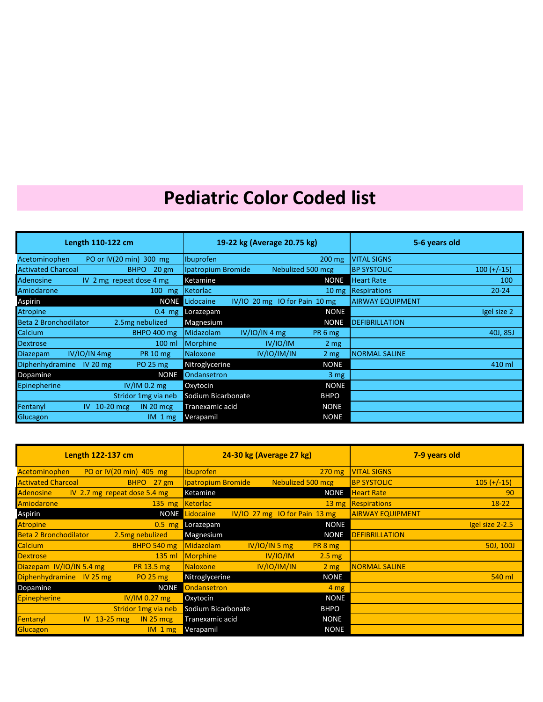| Length 110-122 cm                                           | 19-22 kg (Average 20.75 kg) |               |                               |                 | 5-6 years old           |               |
|-------------------------------------------------------------|-----------------------------|---------------|-------------------------------|-----------------|-------------------------|---------------|
| PO or IV(20 min) 300 mg<br>Acetominophen                    | Ibuprofen                   |               | $200$ mg                      |                 | <b>VITAL SIGNS</b>      |               |
| <b>Activated Charcoal</b><br>$20 \text{ gm}$<br><b>BHPO</b> | Ipatropium Bromide          |               | Nebulized 500 mcg             |                 | <b>BP SYSTOLIC</b>      | $100 (+/-15)$ |
| IV 2 mg repeat dose 4 mg<br>Adenosine                       | Ketamine                    |               |                               | <b>NONE</b>     | <b>Heart Rate</b>       | 100           |
| Amiodarone<br>$100$ mg                                      | Ketorlac                    |               |                               |                 | 10 mg Respirations      | $20 - 24$     |
| Aspirin<br><b>NONE</b>                                      | Lidocaine                   |               | IV/IO 20 mg IO for Pain 10 mg |                 | <b>AIRWAY EQUIPMENT</b> |               |
| <b>Atropine</b><br>$0.4$ mg                                 | Lorazepam                   |               |                               | <b>NONE</b>     |                         | Igel size 2   |
| Beta 2 Bronchodilator<br>2.5mg nebulized                    | Magnesium                   |               | <b>NONE</b>                   |                 | <b>DEFIBRILLATION</b>   |               |
| <b>BHPO 400 mg</b><br>Calcium                               | Midazolam                   | IV/IO/IN 4 mg | PR <sub>6</sub> mg            |                 |                         | 40J, 85J      |
| <b>Dextrose</b><br>100 ml                                   | <b>Morphine</b>             | IV/IO/IM      | 2 <sub>mg</sub>               |                 |                         |               |
| <b>Diazepam</b><br>IV/IO/IN 4mg<br><b>PR 10 mg</b>          | Naloxone                    | IV/IO/IM/IN   | $2 \, mg$                     |                 | <b>NORMAL SALINE</b>    |               |
| <b>Diphenhydramine</b><br>PO 25 mg<br>IV 20 $mg$            | Nitroglycerine              |               | <b>NONE</b>                   |                 |                         | 410 ml        |
| Dopamine<br><b>NONE</b>                                     | Ondansetron                 |               |                               | 3 <sub>mg</sub> |                         |               |
| $IV/IM$ 0.2 mg<br>Epinepherine                              | Oxytocin                    |               |                               | <b>NONE</b>     |                         |               |
| Stridor 1mg via neb                                         | Sodium Bicarbonate          |               | <b>BHPO</b>                   |                 |                         |               |
| Fentanyl<br>IN 20 mcg<br>$10-20$ mcg<br>IV.                 | Tranexamic acid             |               | <b>NONE</b>                   |                 |                         |               |
| <b>Glucagon</b><br>$IM_1mg$                                 | Verapamil                   |               | <b>NONE</b>                   |                 |                         |               |

| Length 122-137 cm                                   | 24-30 kg (Average 27 kg)                     | 7-9 years old                       |
|-----------------------------------------------------|----------------------------------------------|-------------------------------------|
| PO or IV(20 min) 405 mg<br>Acetominophen            | <b>Ibuprofen</b><br>$270$ mg                 | <b>VITAL SIGNS</b>                  |
| <b>Activated Charcoal</b><br>$27$ gm<br><b>BHPO</b> | Ipatropium Bromide<br>Nebulized 500 mcg      | <b>BP SYSTOLIC</b><br>$105 (+/-15)$ |
| <b>Adenosine</b><br>IV 2.7 mg repeat dose 5.4 mg    | Ketamine<br><b>NONE</b>                      | <b>Heart Rate</b><br>90             |
| Amiodarone<br>$135$ mg                              | <b>Ketorlac</b><br>$13 \text{ mg}$           | Respirations<br>$18-22$             |
| Aspirin<br><b>NONE</b>                              | $IV/IO$ 27 mg 10 for Pain 13 mg<br>Lidocaine | <b>AIRWAY EQUIPMENT</b>             |
| <b>Atropine</b><br>$0.5$ mg                         | <b>NONE</b><br>Lorazepam                     | Igel size 2-2.5                     |
| <b>Beta 2 Bronchodilator</b><br>2.5mg nebulized     | Magnesium<br><b>NONE</b>                     | <b>DEFIBRILLATION</b>               |
| Calcium<br><b>BHPO 540 mg</b>                       | IV/IO/IN 5 mg<br>Midazolam<br>PR 8 mg        | 50J, 100J                           |
| $135$ ml<br><b>Dextrose</b>                         | IV/IO/IM<br>Morphine<br>$2.5 \text{ mg}$     |                                     |
| Diazepam IV/IO/IN 5.4 mg<br>PR 13.5 mg              | IV/IO/IM/IN<br>Naloxone<br>2 <sub>mg</sub>   | <b>NORMAL SALINE</b>                |
| Diphenhydramine IV 25 mg<br><b>PO 25 mg</b>         | Nitroglycerine<br><b>NONE</b>                | 540 ml                              |
| <b>NONE</b><br>Dopamine                             | Ondansetron<br>4 <sub>mg</sub>               |                                     |
| $IV/IM$ 0.27 mg<br><b>Epinepherine</b>              | <b>NONE</b><br>Oxytocin                      |                                     |
| Stridor 1mg via neb                                 | Sodium Bicarbonate<br><b>BHPO</b>            |                                     |
| $IV$ 13-25 mcg<br>Fentanyl<br>IN <sub>25</sub> mcg  | <b>NONE</b><br>Tranexamic acid               |                                     |
| Glucagon<br>$IM_1mg$                                | <b>NONE</b><br>Verapamil                     |                                     |